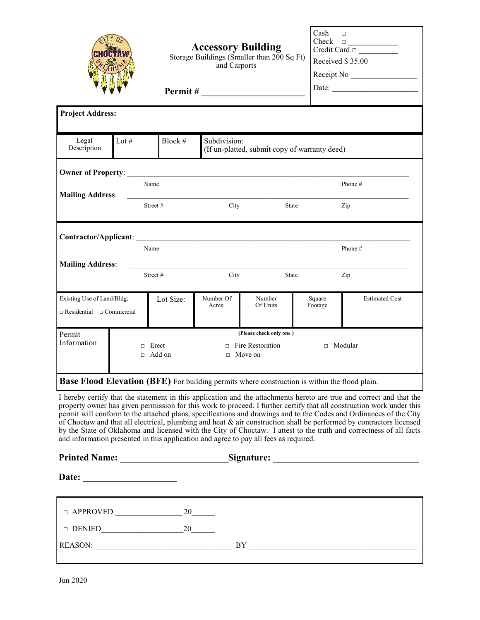|                                                                    |                  |                 | <b>Accessory Building</b><br>and Carports                     | Storage Buildings (Smaller than 200 Sq Ft)                                                           | Cash<br>Check     | $\Box$<br>$\begin{array}{c}\n\text{Check} \quad \Box \quad \text{---} \\ \text{Credit Card} \quad \Box \quad \text{---} \\ \end{array}$<br>Received \$35.00<br>Receipt No<br>Date: |  |
|--------------------------------------------------------------------|------------------|-----------------|---------------------------------------------------------------|------------------------------------------------------------------------------------------------------|-------------------|------------------------------------------------------------------------------------------------------------------------------------------------------------------------------------|--|
|                                                                    |                  |                 |                                                               |                                                                                                      |                   |                                                                                                                                                                                    |  |
| <b>Project Address:</b>                                            |                  |                 |                                                               |                                                                                                      |                   |                                                                                                                                                                                    |  |
| Legal<br>Description                                               | Lot $#$          | Block #         | Subdivision:<br>(If un-platted, submit copy of warranty deed) |                                                                                                      |                   |                                                                                                                                                                                    |  |
|                                                                    |                  | Name            |                                                               |                                                                                                      |                   | Phone #                                                                                                                                                                            |  |
| <b>Mailing Address:</b>                                            |                  | Street#         | City<br>State                                                 |                                                                                                      |                   | Zip                                                                                                                                                                                |  |
|                                                                    |                  |                 |                                                               |                                                                                                      |                   |                                                                                                                                                                                    |  |
|                                                                    |                  | Name            |                                                               |                                                                                                      |                   | Phone#                                                                                                                                                                             |  |
| <b>Mailing Address:</b>                                            |                  | Street#         | City                                                          | State                                                                                                |                   | Zip                                                                                                                                                                                |  |
| Existing Use of Land/Bldg:<br>$\Box$ Residential $\Box$ Commercial |                  | Lot Size:       | Number Of<br>Acres:                                           | Number<br>Of Units                                                                                   | Square<br>Footage | <b>Estimated Cost</b>                                                                                                                                                              |  |
| Permit<br>Information                                              | $\Box$<br>$\Box$ | Erect<br>Add on |                                                               | (Please check only one)<br>$\Box$ Fire Restoration<br>$\Box$ Move on                                 |                   | □ Modular                                                                                                                                                                          |  |
|                                                                    |                  |                 |                                                               | <b>Base Flood Elevation (BFE)</b> For building permits where construction is within the flood plain. |                   |                                                                                                                                                                                    |  |

I hereby certify that the statement in this application and the attachments hereto are true and correct and that the property owner has given permission for this work to proceed. I further certify that all construction work under this permit will conform to the attached plans, specifications and drawings and to the Codes and Ordinances of the City of Choctaw and that all electrical, plumbing and heat & air construction shall be performed by contractors licensed by the State of Oklahoma and licensed with the City of Choctaw. I attest to the truth and correctness of all facts and information presented in this application and agree to pay all fees as required.

| <b>Printed Name:</b>    | Signature:<br><u> 1989 - Andrea State Barbara, amerikan per</u> |  |
|-------------------------|-----------------------------------------------------------------|--|
| Date:                   |                                                                 |  |
| $\Box$ APPROVED         | 20                                                              |  |
| <b>DENIED</b><br>$\Box$ | 20                                                              |  |
| <b>REASON:</b>          | BY                                                              |  |